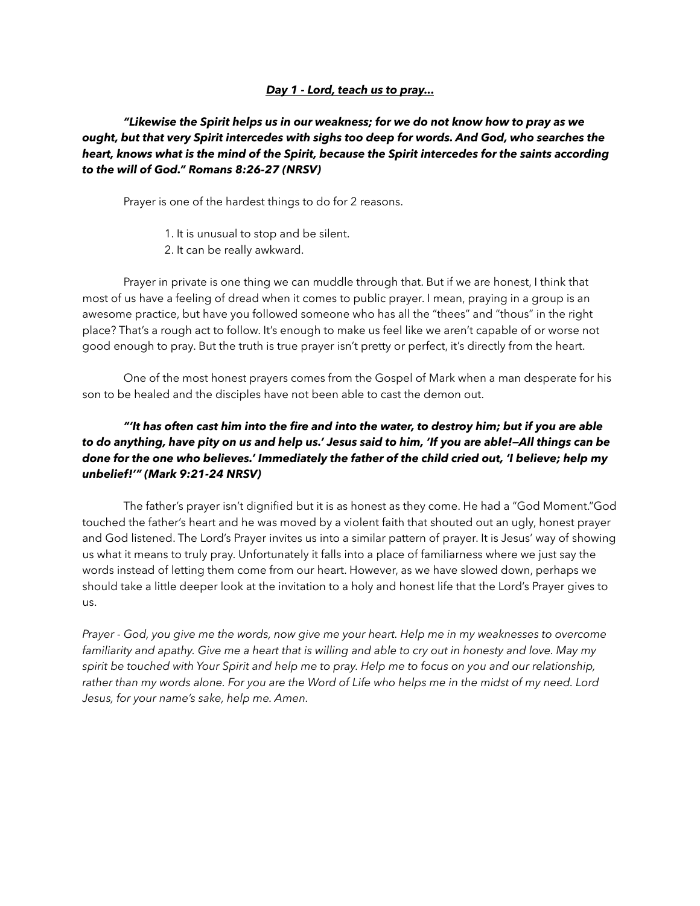### *Day 1 - Lord, teach us to pray...*

# *"Likewise the Spirit helps us in our weakness; for we do not know how to pray as we ought, but that very Spirit intercedes with sighs too deep for words. And God, who searches the heart, knows what is the mind of the Spirit, because the Spirit intercedes for the saints according to the will of God." Romans 8:26-27 (NRSV)*

Prayer is one of the hardest things to do for 2 reasons.

- 1. It is unusual to stop and be silent.
- 2. It can be really awkward.

 Prayer in private is one thing we can muddle through that. But if we are honest, I think that most of us have a feeling of dread when it comes to public prayer. I mean, praying in a group is an awesome practice, but have you followed someone who has all the "thees" and "thous" in the right place? That's a rough act to follow. It's enough to make us feel like we aren't capable of or worse not good enough to pray. But the truth is true prayer isn't pretty or perfect, it's directly from the heart.

 One of the most honest prayers comes from the Gospel of Mark when a man desperate for his son to be healed and the disciples have not been able to cast the demon out.

# *"'It has often cast him into the fire and into the water, to destroy him; but if you are able to do anything, have pity on us and help us.' Jesus said to him, 'If you are able!—All things can be done for the one who believes.' Immediately the father of the child cried out, 'I believe; help my unbelief!'" (Mark 9:21-24 NRSV)*

 The father's prayer isn't dignified but it is as honest as they come. He had a "God Moment."God touched the father's heart and he was moved by a violent faith that shouted out an ugly, honest prayer and God listened. The Lord's Prayer invites us into a similar pattern of prayer. It is Jesus' way of showing us what it means to truly pray. Unfortunately it falls into a place of familiarness where we just say the words instead of letting them come from our heart. However, as we have slowed down, perhaps we should take a little deeper look at the invitation to a holy and honest life that the Lord's Prayer gives to us.

*Prayer - God, you give me the words, now give me your heart. Help me in my weaknesses to overcome familiarity and apathy. Give me a heart that is willing and able to cry out in honesty and love. May my spirit be touched with Your Spirit and help me to pray. Help me to focus on you and our relationship, rather than my words alone. For you are the Word of Life who helps me in the midst of my need. Lord Jesus, for your name's sake, help me. Amen.*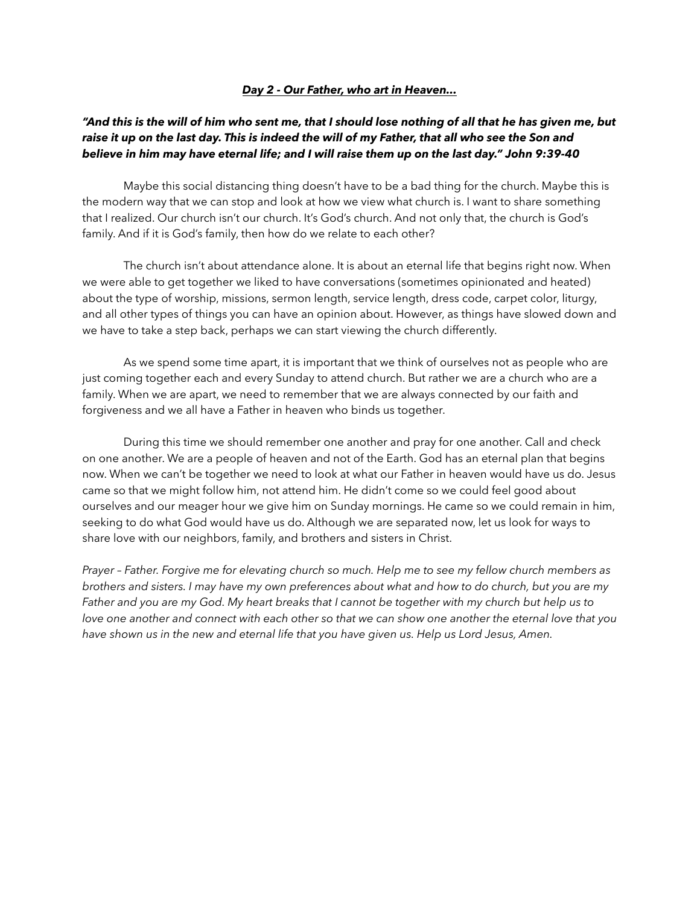#### *Day 2 - Our Father, who art in Heaven...*

## *"And this is the will of him who sent me, that I should lose nothing of all that he has given me, but raise it up on the last day. This is indeed the will of my Father, that all who see the Son and believe in him may have eternal life; and I will raise them up on the last day." John 9:39-40*

 Maybe this social distancing thing doesn't have to be a bad thing for the church. Maybe this is the modern way that we can stop and look at how we view what church is. I want to share something that I realized. Our church isn't our church. It's God's church. And not only that, the church is God's family. And if it is God's family, then how do we relate to each other?

 The church isn't about attendance alone. It is about an eternal life that begins right now. When we were able to get together we liked to have conversations (sometimes opinionated and heated) about the type of worship, missions, sermon length, service length, dress code, carpet color, liturgy, and all other types of things you can have an opinion about. However, as things have slowed down and we have to take a step back, perhaps we can start viewing the church differently.

 As we spend some time apart, it is important that we think of ourselves not as people who are just coming together each and every Sunday to attend church. But rather we are a church who are a family. When we are apart, we need to remember that we are always connected by our faith and forgiveness and we all have a Father in heaven who binds us together.

 During this time we should remember one another and pray for one another. Call and check on one another. We are a people of heaven and not of the Earth. God has an eternal plan that begins now. When we can't be together we need to look at what our Father in heaven would have us do. Jesus came so that we might follow him, not attend him. He didn't come so we could feel good about ourselves and our meager hour we give him on Sunday mornings. He came so we could remain in him, seeking to do what God would have us do. Although we are separated now, let us look for ways to share love with our neighbors, family, and brothers and sisters in Christ.

*Prayer – Father. Forgive me for elevating church so much. Help me to see my fellow church members as brothers and sisters. I may have my own preferences about what and how to do church, but you are my Father and you are my God. My heart breaks that I cannot be together with my church but help us to*  love one another and connect with each other so that we can show one another the eternal love that you *have shown us in the new and eternal life that you have given us. Help us Lord Jesus, Amen.*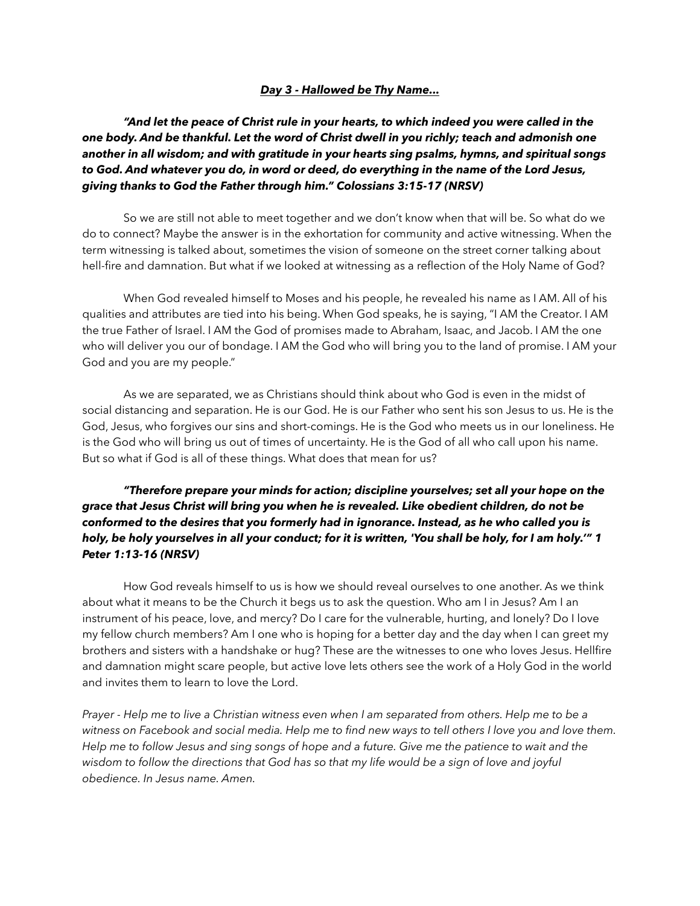### *Day 3 - Hallowed be Thy Name...*

*"And let the peace of Christ rule in your hearts, to which indeed you were called in the one body. And be thankful. Let the word of Christ dwell in you richly; teach and admonish one another in all wisdom; and with gratitude in your hearts sing psalms, hymns, and spiritual songs to God. And whatever you do, in word or deed, do everything in the name of the Lord Jesus, giving thanks to God the Father through him." Colossians 3:15-17 (NRSV)*

 So we are still not able to meet together and we don't know when that will be. So what do we do to connect? Maybe the answer is in the exhortation for community and active witnessing. When the term witnessing is talked about, sometimes the vision of someone on the street corner talking about hell-fire and damnation. But what if we looked at witnessing as a reflection of the Holy Name of God?

 When God revealed himself to Moses and his people, he revealed his name as I AM. All of his qualities and attributes are tied into his being. When God speaks, he is saying, "I AM the Creator. I AM the true Father of Israel. I AM the God of promises made to Abraham, Isaac, and Jacob. I AM the one who will deliver you our of bondage. I AM the God who will bring you to the land of promise. I AM your God and you are my people."

 As we are separated, we as Christians should think about who God is even in the midst of social distancing and separation. He is our God. He is our Father who sent his son Jesus to us. He is the God, Jesus, who forgives our sins and short-comings. He is the God who meets us in our loneliness. He is the God who will bring us out of times of uncertainty. He is the God of all who call upon his name. But so what if God is all of these things. What does that mean for us?

*"Therefore prepare your minds for action; discipline yourselves; set all your hope on the grace that Jesus Christ will bring you when he is revealed. Like obedient children, do not be conformed to the desires that you formerly had in ignorance. Instead, as he who called you is holy, be holy yourselves in all your conduct; for it is written, 'You shall be holy, for I am holy.'" 1 Peter 1:13-16 (NRSV)*

 How God reveals himself to us is how we should reveal ourselves to one another. As we think about what it means to be the Church it begs us to ask the question. Who am I in Jesus? Am I an instrument of his peace, love, and mercy? Do I care for the vulnerable, hurting, and lonely? Do I love my fellow church members? Am I one who is hoping for a better day and the day when I can greet my brothers and sisters with a handshake or hug? These are the witnesses to one who loves Jesus. Hellfire and damnation might scare people, but active love lets others see the work of a Holy God in the world and invites them to learn to love the Lord.

*Prayer - Help me to live a Christian witness even when I am separated from others. Help me to be a witness on Facebook and social media. Help me to find new ways to tell others I love you and love them. Help me to follow Jesus and sing songs of hope and a future. Give me the patience to wait and the wisdom to follow the directions that God has so that my life would be a sign of love and joyful obedience. In Jesus name. Amen.*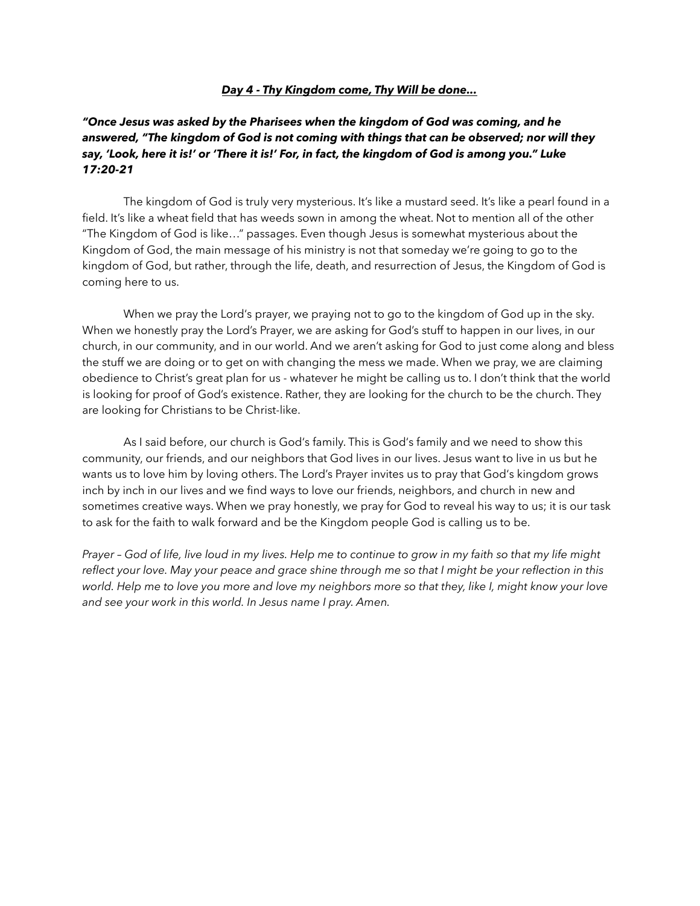#### *Day 4 - Thy Kingdom come, Thy Will be done...*

## *"Once Jesus was asked by the Pharisees when the kingdom of God was coming, and he answered, "The kingdom of God is not coming with things that can be observed; nor will they say, 'Look, here it is!' or 'There it is!' For, in fact, the kingdom of God is among you." Luke 17:20-21*

 The kingdom of God is truly very mysterious. It's like a mustard seed. It's like a pearl found in a field. It's like a wheat field that has weeds sown in among the wheat. Not to mention all of the other "The Kingdom of God is like…" passages. Even though Jesus is somewhat mysterious about the Kingdom of God, the main message of his ministry is not that someday we're going to go to the kingdom of God, but rather, through the life, death, and resurrection of Jesus, the Kingdom of God is coming here to us.

 When we pray the Lord's prayer, we praying not to go to the kingdom of God up in the sky. When we honestly pray the Lord's Prayer, we are asking for God's stuff to happen in our lives, in our church, in our community, and in our world. And we aren't asking for God to just come along and bless the stuff we are doing or to get on with changing the mess we made. When we pray, we are claiming obedience to Christ's great plan for us - whatever he might be calling us to. I don't think that the world is looking for proof of God's existence. Rather, they are looking for the church to be the church. They are looking for Christians to be Christ-like.

 As I said before, our church is God's family. This is God's family and we need to show this community, our friends, and our neighbors that God lives in our lives. Jesus want to live in us but he wants us to love him by loving others. The Lord's Prayer invites us to pray that God's kingdom grows inch by inch in our lives and we find ways to love our friends, neighbors, and church in new and sometimes creative ways. When we pray honestly, we pray for God to reveal his way to us; it is our task to ask for the faith to walk forward and be the Kingdom people God is calling us to be.

*Prayer – God of life, live loud in my lives. Help me to continue to grow in my faith so that my life might reflect your love. May your peace and grace shine through me so that I might be your reflection in this world. Help me to love you more and love my neighbors more so that they, like I, might know your love and see your work in this world. In Jesus name I pray. Amen.*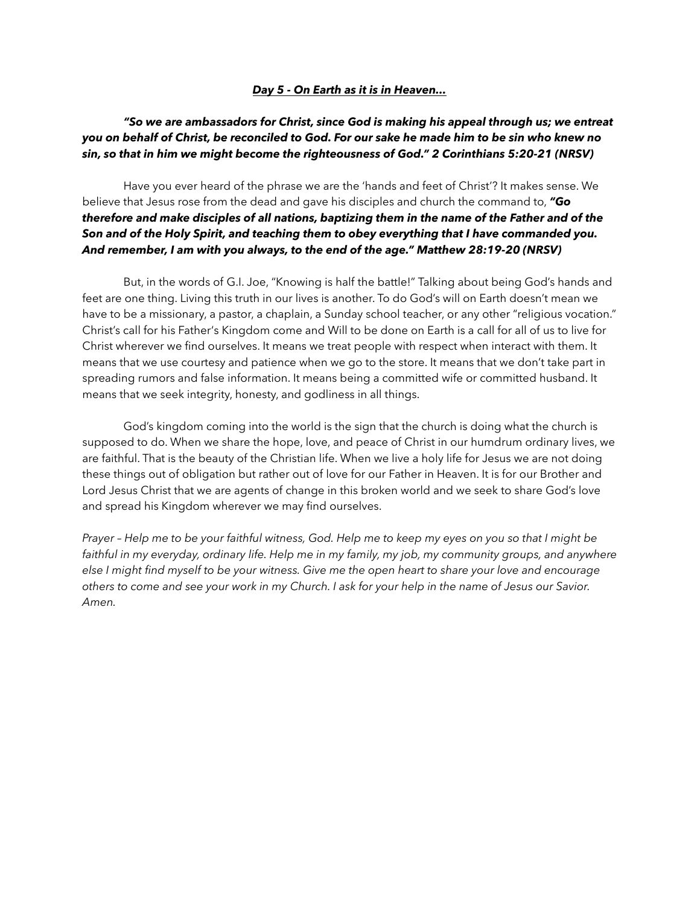#### *Day 5 - On Earth as it is in Heaven...*

## *"So we are ambassadors for Christ, since God is making his appeal through us; we entreat you on behalf of Christ, be reconciled to God. For our sake he made him to be sin who knew no sin, so that in him we might become the righteousness of God." 2 Corinthians 5:20-21 (NRSV)*

 Have you ever heard of the phrase we are the 'hands and feet of Christ'? It makes sense. We believe that Jesus rose from the dead and gave his disciples and church the command to, *"Go therefore and make disciples of all nations, baptizing them in the name of the Father and of the Son and of the Holy Spirit, and teaching them to obey everything that I have commanded you. And remember, I am with you always, to the end of the age." Matthew 28:19-20 (NRSV)*

 But, in the words of G.I. Joe, "Knowing is half the battle!" Talking about being God's hands and feet are one thing. Living this truth in our lives is another. To do God's will on Earth doesn't mean we have to be a missionary, a pastor, a chaplain, a Sunday school teacher, or any other "religious vocation." Christ's call for his Father's Kingdom come and Will to be done on Earth is a call for all of us to live for Christ wherever we find ourselves. It means we treat people with respect when interact with them. It means that we use courtesy and patience when we go to the store. It means that we don't take part in spreading rumors and false information. It means being a committed wife or committed husband. It means that we seek integrity, honesty, and godliness in all things.

 God's kingdom coming into the world is the sign that the church is doing what the church is supposed to do. When we share the hope, love, and peace of Christ in our humdrum ordinary lives, we are faithful. That is the beauty of the Christian life. When we live a holy life for Jesus we are not doing these things out of obligation but rather out of love for our Father in Heaven. It is for our Brother and Lord Jesus Christ that we are agents of change in this broken world and we seek to share God's love and spread his Kingdom wherever we may find ourselves.

*Prayer – Help me to be your faithful witness, God. Help me to keep my eyes on you so that I might be*  faithful in my everyday, ordinary life. Help me in my family, my job, my community groups, and anywhere *else I might find myself to be your witness. Give me the open heart to share your love and encourage others to come and see your work in my Church. I ask for your help in the name of Jesus our Savior. Amen.*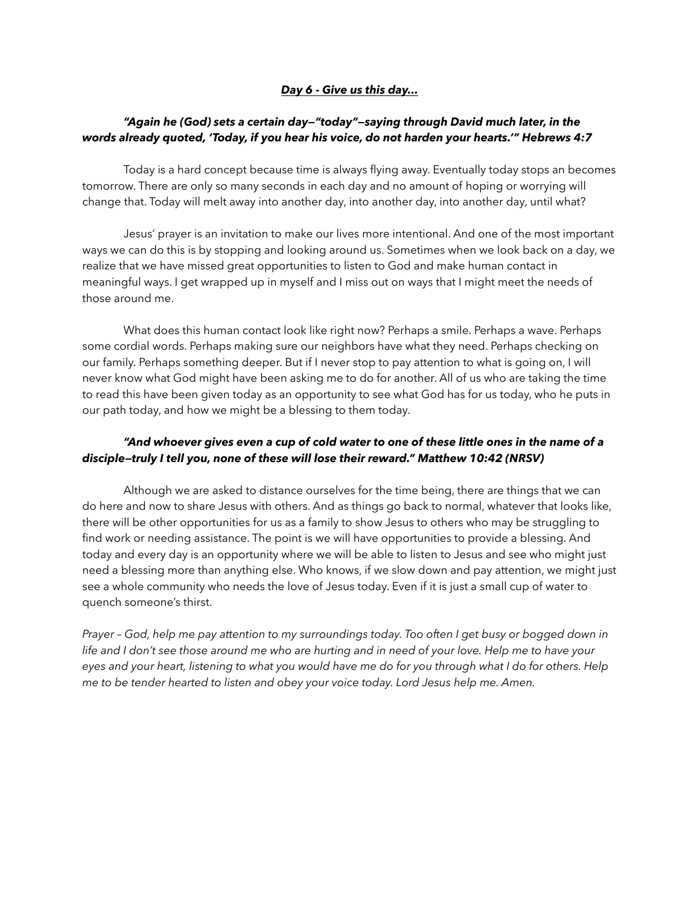### *Day 6 - Give us this day...*

## *"Again he (God) sets a certain day—"today"—saying through David much later, in the words already quoted, 'Today, if you hear his voice, do not harden your hearts.'" Hebrews 4:7*

 Today is a hard concept because time is always flying away. Eventually today stops an becomes tomorrow. There are only so many seconds in each day and no amount of hoping or worrying will change that. Today will melt away into another day, into another day, into another day, until what?

 Jesus' prayer is an invitation to make our lives more intentional. And one of the most important ways we can do this is by stopping and looking around us. Sometimes when we look back on a day, we realize that we have missed great opportunities to listen to God and make human contact in meaningful ways. I get wrapped up in myself and I miss out on ways that I might meet the needs of those around me.

 What does this human contact look like right now? Perhaps a smile. Perhaps a wave. Perhaps some cordial words. Perhaps making sure our neighbors have what they need. Perhaps checking on our family. Perhaps something deeper. But if I never stop to pay attention to what is going on, I will never know what God might have been asking me to do for another. All of us who are taking the time to read this have been given today as an opportunity to see what God has for us today, who he puts in our path today, and how we might be a blessing to them today.

# *"And whoever gives even a cup of cold water to one of these little ones in the name of a disciple—truly I tell you, none of these will lose their reward." Matthew 10:42 (NRSV)*

 Although we are asked to distance ourselves for the time being, there are things that we can do here and now to share Jesus with others. And as things go back to normal, whatever that looks like, there will be other opportunities for us as a family to show Jesus to others who may be struggling to find work or needing assistance. The point is we will have opportunities to provide a blessing. And today and every day is an opportunity where we will be able to listen to Jesus and see who might just need a blessing more than anything else. Who knows, if we slow down and pay attention, we might just see a whole community who needs the love of Jesus today. Even if it is just a small cup of water to quench someone's thirst.

*Prayer – God, help me pay attention to my surroundings today. Too often I get busy or bogged down in life and I don't see those around me who are hurting and in need of your love. Help me to have your eyes and your heart, listening to what you would have me do for you through what I do for others. Help me to be tender hearted to listen and obey your voice today. Lord Jesus help me. Amen.*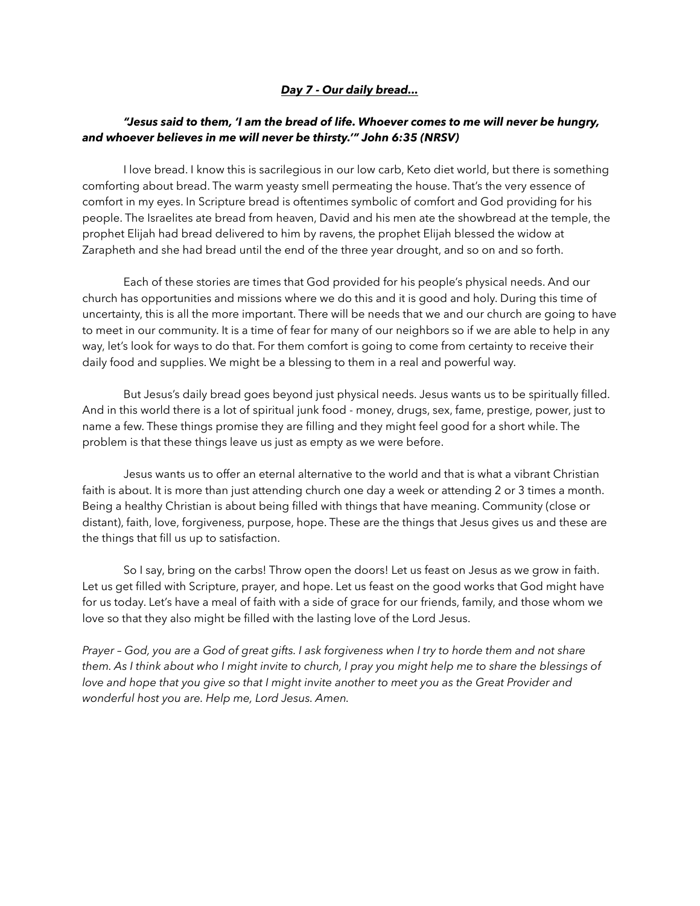### *Day 7 - Our daily bread...*

### *"Jesus said to them, 'I am the bread of life. Whoever comes to me will never be hungry, and whoever believes in me will never be thirsty.'" John 6:35 (NRSV)*

 I love bread. I know this is sacrilegious in our low carb, Keto diet world, but there is something comforting about bread. The warm yeasty smell permeating the house. That's the very essence of comfort in my eyes. In Scripture bread is oftentimes symbolic of comfort and God providing for his people. The Israelites ate bread from heaven, David and his men ate the showbread at the temple, the prophet Elijah had bread delivered to him by ravens, the prophet Elijah blessed the widow at Zarapheth and she had bread until the end of the three year drought, and so on and so forth.

 Each of these stories are times that God provided for his people's physical needs. And our church has opportunities and missions where we do this and it is good and holy. During this time of uncertainty, this is all the more important. There will be needs that we and our church are going to have to meet in our community. It is a time of fear for many of our neighbors so if we are able to help in any way, let's look for ways to do that. For them comfort is going to come from certainty to receive their daily food and supplies. We might be a blessing to them in a real and powerful way.

 But Jesus's daily bread goes beyond just physical needs. Jesus wants us to be spiritually filled. And in this world there is a lot of spiritual junk food - money, drugs, sex, fame, prestige, power, just to name a few. These things promise they are filling and they might feel good for a short while. The problem is that these things leave us just as empty as we were before.

 Jesus wants us to offer an eternal alternative to the world and that is what a vibrant Christian faith is about. It is more than just attending church one day a week or attending 2 or 3 times a month. Being a healthy Christian is about being filled with things that have meaning. Community (close or distant), faith, love, forgiveness, purpose, hope. These are the things that Jesus gives us and these are the things that fill us up to satisfaction.

 So I say, bring on the carbs! Throw open the doors! Let us feast on Jesus as we grow in faith. Let us get filled with Scripture, prayer, and hope. Let us feast on the good works that God might have for us today. Let's have a meal of faith with a side of grace for our friends, family, and those whom we love so that they also might be filled with the lasting love of the Lord Jesus.

*Prayer – God, you are a God of great gifts. I ask forgiveness when I try to horde them and not share them. As I think about who I might invite to church, I pray you might help me to share the blessings of love and hope that you give so that I might invite another to meet you as the Great Provider and wonderful host you are. Help me, Lord Jesus. Amen.*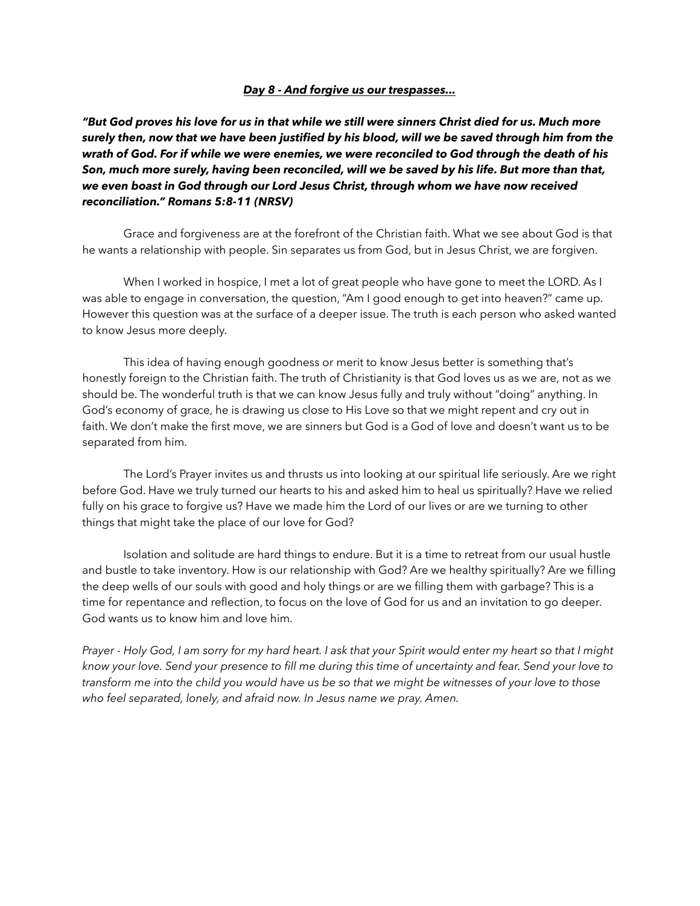#### *Day 8 - And forgive us our trespasses...*

*"But God proves his love for us in that while we still were sinners Christ died for us. Much more surely then, now that we have been justified by his blood, will we be saved through him from the wrath of God. For if while we were enemies, we were reconciled to God through the death of his Son, much more surely, having been reconciled, will we be saved by his life. But more than that, we even boast in God through our Lord Jesus Christ, through whom we have now received reconciliation." Romans 5:8-11 (NRSV)* 

 Grace and forgiveness are at the forefront of the Christian faith. What we see about God is that he wants a relationship with people. Sin separates us from God, but in Jesus Christ, we are forgiven.

 When I worked in hospice, I met a lot of great people who have gone to meet the LORD. As I was able to engage in conversation, the question, "Am I good enough to get into heaven?" came up. However this question was at the surface of a deeper issue. The truth is each person who asked wanted to know Jesus more deeply.

 This idea of having enough goodness or merit to know Jesus better is something that's honestly foreign to the Christian faith. The truth of Christianity is that God loves us as we are, not as we should be. The wonderful truth is that we can know Jesus fully and truly without "doing" anything. In God's economy of grace, he is drawing us close to His Love so that we might repent and cry out in faith. We don't make the first move, we are sinners but God is a God of love and doesn't want us to be separated from him.

 The Lord's Prayer invites us and thrusts us into looking at our spiritual life seriously. Are we right before God. Have we truly turned our hearts to his and asked him to heal us spiritually? Have we relied fully on his grace to forgive us? Have we made him the Lord of our lives or are we turning to other things that might take the place of our love for God?

 Isolation and solitude are hard things to endure. But it is a time to retreat from our usual hustle and bustle to take inventory. How is our relationship with God? Are we healthy spiritually? Are we filling the deep wells of our souls with good and holy things or are we filling them with garbage? This is a time for repentance and reflection, to focus on the love of God for us and an invitation to go deeper. God wants us to know him and love him.

*Prayer - Holy God, I am sorry for my hard heart. I ask that your Spirit would enter my heart so that I might know your love. Send your presence to fill me during this time of uncertainty and fear. Send your love to transform me into the child you would have us be so that we might be witnesses of your love to those who feel separated, lonely, and afraid now. In Jesus name we pray. Amen.*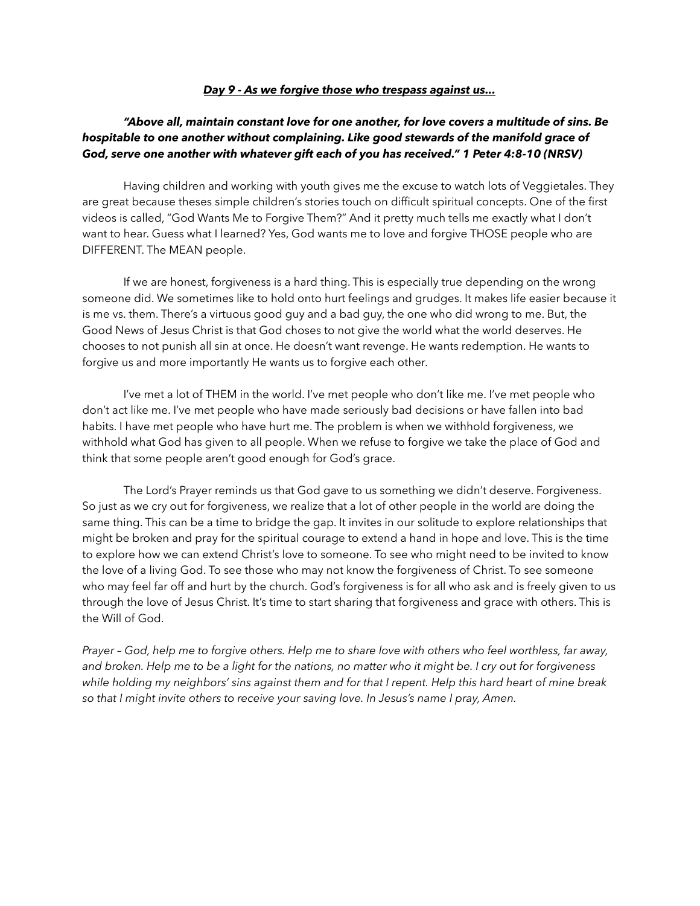#### *Day 9 - As we forgive those who trespass against us...*

## *"Above all, maintain constant love for one another, for love covers a multitude of sins. Be hospitable to one another without complaining. Like good stewards of the manifold grace of God, serve one another with whatever gift each of you has received." 1 Peter 4:8-10 (NRSV)*

 Having children and working with youth gives me the excuse to watch lots of Veggietales. They are great because theses simple children's stories touch on difficult spiritual concepts. One of the first videos is called, "God Wants Me to Forgive Them?" And it pretty much tells me exactly what I don't want to hear. Guess what I learned? Yes, God wants me to love and forgive THOSE people who are DIFFERENT. The MEAN people.

 If we are honest, forgiveness is a hard thing. This is especially true depending on the wrong someone did. We sometimes like to hold onto hurt feelings and grudges. It makes life easier because it is me vs. them. There's a virtuous good guy and a bad guy, the one who did wrong to me. But, the Good News of Jesus Christ is that God choses to not give the world what the world deserves. He chooses to not punish all sin at once. He doesn't want revenge. He wants redemption. He wants to forgive us and more importantly He wants us to forgive each other.

 I've met a lot of THEM in the world. I've met people who don't like me. I've met people who don't act like me. I've met people who have made seriously bad decisions or have fallen into bad habits. I have met people who have hurt me. The problem is when we withhold forgiveness, we withhold what God has given to all people. When we refuse to forgive we take the place of God and think that some people aren't good enough for God's grace.

 The Lord's Prayer reminds us that God gave to us something we didn't deserve. Forgiveness. So just as we cry out for forgiveness, we realize that a lot of other people in the world are doing the same thing. This can be a time to bridge the gap. It invites in our solitude to explore relationships that might be broken and pray for the spiritual courage to extend a hand in hope and love. This is the time to explore how we can extend Christ's love to someone. To see who might need to be invited to know the love of a living God. To see those who may not know the forgiveness of Christ. To see someone who may feel far off and hurt by the church. God's forgiveness is for all who ask and is freely given to us through the love of Jesus Christ. It's time to start sharing that forgiveness and grace with others. This is the Will of God.

*Prayer – God, help me to forgive others. Help me to share love with others who feel worthless, far away, and broken. Help me to be a light for the nations, no matter who it might be. I cry out for forgiveness while holding my neighbors' sins against them and for that I repent. Help this hard heart of mine break so that I might invite others to receive your saving love. In Jesus's name I pray, Amen.*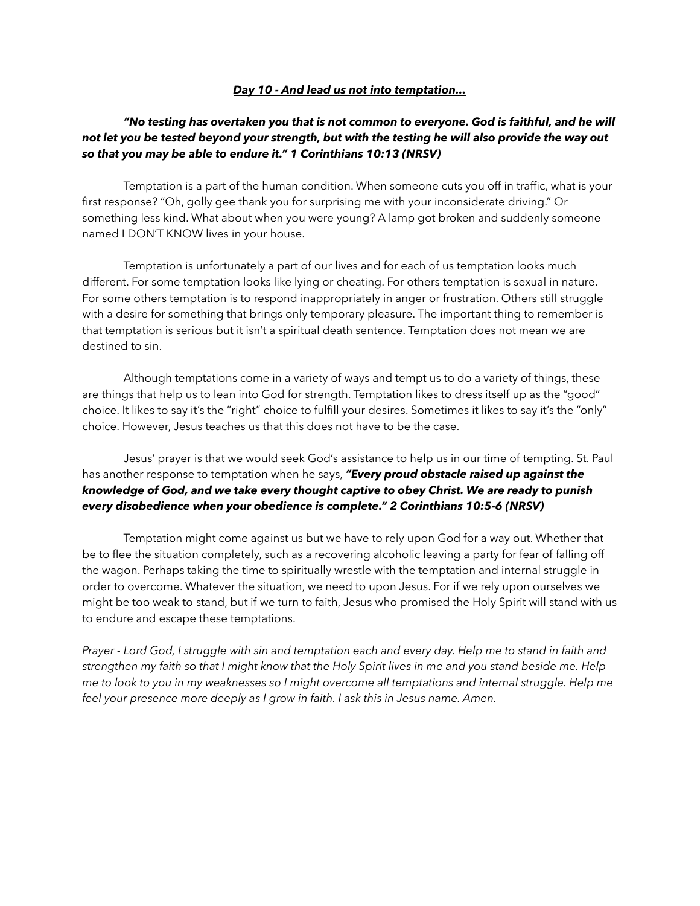#### *Day 10 - And lead us not into temptation...*

## *"No testing has overtaken you that is not common to everyone. God is faithful, and he will not let you be tested beyond your strength, but with the testing he will also provide the way out so that you may be able to endure it." 1 Corinthians 10:13 (NRSV)*

 Temptation is a part of the human condition. When someone cuts you off in traffic, what is your first response? "Oh, golly gee thank you for surprising me with your inconsiderate driving." Or something less kind. What about when you were young? A lamp got broken and suddenly someone named I DON'T KNOW lives in your house.

 Temptation is unfortunately a part of our lives and for each of us temptation looks much different. For some temptation looks like lying or cheating. For others temptation is sexual in nature. For some others temptation is to respond inappropriately in anger or frustration. Others still struggle with a desire for something that brings only temporary pleasure. The important thing to remember is that temptation is serious but it isn't a spiritual death sentence. Temptation does not mean we are destined to sin.

 Although temptations come in a variety of ways and tempt us to do a variety of things, these are things that help us to lean into God for strength. Temptation likes to dress itself up as the "good" choice. It likes to say it's the "right" choice to fulfill your desires. Sometimes it likes to say it's the "only" choice. However, Jesus teaches us that this does not have to be the case.

 Jesus' prayer is that we would seek God's assistance to help us in our time of tempting. St. Paul has another response to temptation when he says, *"Every proud obstacle raised up against the knowledge of God, and we take every thought captive to obey Christ. We are ready to punish every disobedience when your obedience is complete." 2 Corinthians 10:5-6 (NRSV)* 

 Temptation might come against us but we have to rely upon God for a way out. Whether that be to flee the situation completely, such as a recovering alcoholic leaving a party for fear of falling off the wagon. Perhaps taking the time to spiritually wrestle with the temptation and internal struggle in order to overcome. Whatever the situation, we need to upon Jesus. For if we rely upon ourselves we might be too weak to stand, but if we turn to faith, Jesus who promised the Holy Spirit will stand with us to endure and escape these temptations.

*Prayer - Lord God, I struggle with sin and temptation each and every day. Help me to stand in faith and strengthen my faith so that I might know that the Holy Spirit lives in me and you stand beside me. Help me to look to you in my weaknesses so I might overcome all temptations and internal struggle. Help me feel your presence more deeply as I grow in faith. I ask this in Jesus name. Amen.*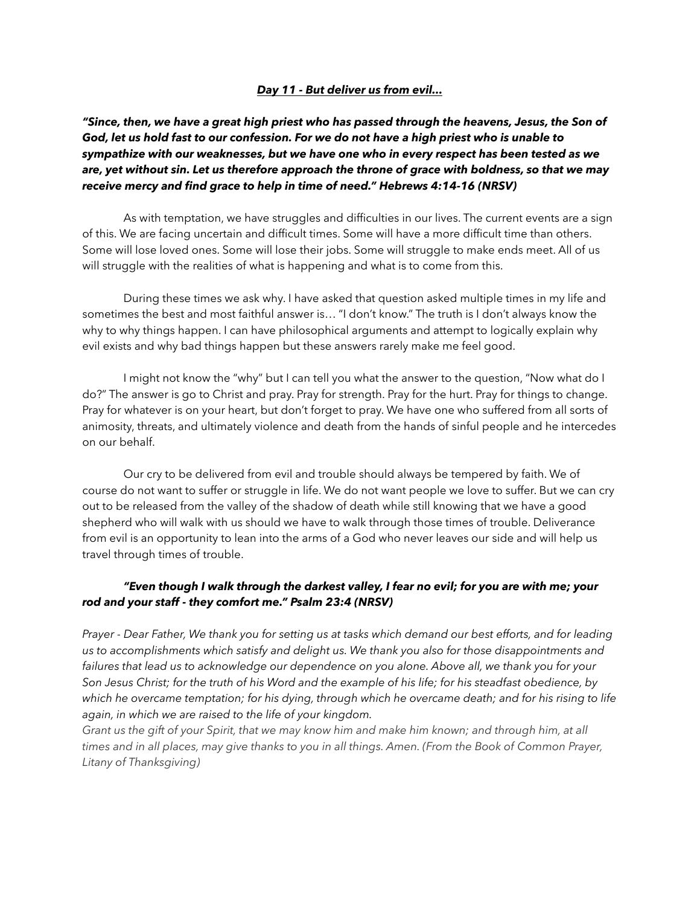### *Day 11 - But deliver us from evil...*

*"Since, then, we have a great high priest who has passed through the heavens, Jesus, the Son of God, let us hold fast to our confession. For we do not have a high priest who is unable to sympathize with our weaknesses, but we have one who in every respect has been tested as we are, yet without sin. Let us therefore approach the throne of grace with boldness, so that we may receive mercy and find grace to help in time of need." Hebrews 4:14-16 (NRSV)* 

 As with temptation, we have struggles and difficulties in our lives. The current events are a sign of this. We are facing uncertain and difficult times. Some will have a more difficult time than others. Some will lose loved ones. Some will lose their jobs. Some will struggle to make ends meet. All of us will struggle with the realities of what is happening and what is to come from this.

 During these times we ask why. I have asked that question asked multiple times in my life and sometimes the best and most faithful answer is… "I don't know." The truth is I don't always know the why to why things happen. I can have philosophical arguments and attempt to logically explain why evil exists and why bad things happen but these answers rarely make me feel good.

 I might not know the "why" but I can tell you what the answer to the question, "Now what do I do?" The answer is go to Christ and pray. Pray for strength. Pray for the hurt. Pray for things to change. Pray for whatever is on your heart, but don't forget to pray. We have one who suffered from all sorts of animosity, threats, and ultimately violence and death from the hands of sinful people and he intercedes on our behalf.

 Our cry to be delivered from evil and trouble should always be tempered by faith. We of course do not want to suffer or struggle in life. We do not want people we love to suffer. But we can cry out to be released from the valley of the shadow of death while still knowing that we have a good shepherd who will walk with us should we have to walk through those times of trouble. Deliverance from evil is an opportunity to lean into the arms of a God who never leaves our side and will help us travel through times of trouble.

## *"Even though I walk through the darkest valley, I fear no evil; for you are with me; your rod and your staff - they comfort me." Psalm 23:4 (NRSV)*

*Prayer - Dear Father, We thank you for setting us at tasks which demand our best efforts, and for leading us to accomplishments which satisfy and delight us. We thank you also for those disappointments and failures that lead us to acknowledge our dependence on you alone. Above all, we thank you for your Son Jesus Christ; for the truth of his Word and the example of his life; for his steadfast obedience, by which he overcame temptation; for his dying, through which he overcame death; and for his rising to life again, in which we are raised to the life of your kingdom.* 

*Grant us the gift of your Spirit, that we may know him and make him known; and through him, at all times and in all places, may give thanks to you in all things. Amen. (From the Book of Common Prayer, Litany of Thanksgiving)*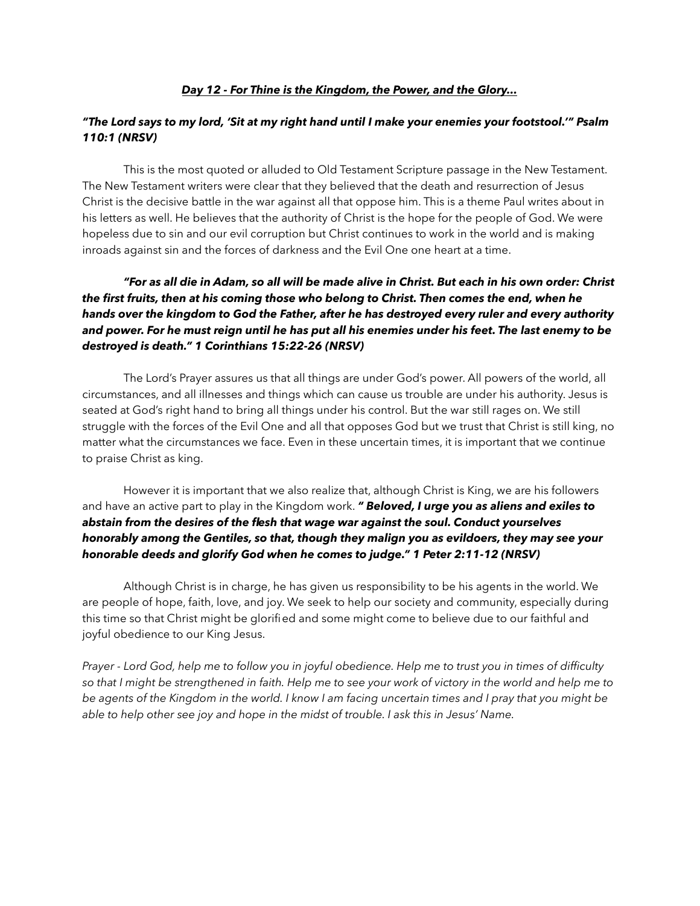#### *Day 12 - For Thine is the Kingdom, the Power, and the Glory...*

## *"The Lord says to my lord, 'Sit at my right hand until I make your enemies your footstool.'" Psalm 110:1 (NRSV)*

 This is the most quoted or alluded to Old Testament Scripture passage in the New Testament. The New Testament writers were clear that they believed that the death and resurrection of Jesus Christ is the decisive battle in the war against all that oppose him. This is a theme Paul writes about in his letters as well. He believes that the authority of Christ is the hope for the people of God. We were hopeless due to sin and our evil corruption but Christ continues to work in the world and is making inroads against sin and the forces of darkness and the Evil One one heart at a time.

# *"For as all die in Adam, so all will be made alive in Christ. But each in his own order: Christ the first fruits, then at his coming those who belong to Christ. Then comes the end, when he hands over the kingdom to God the Father, after he has destroyed every ruler and every authority and power. For he must reign until he has put all his enemies under his feet. The last enemy to be destroyed is death." 1 Corinthians 15:22-26 (NRSV)*

 The Lord's Prayer assures us that all things are under God's power. All powers of the world, all circumstances, and all illnesses and things which can cause us trouble are under his authority. Jesus is seated at God's right hand to bring all things under his control. But the war still rages on. We still struggle with the forces of the Evil One and all that opposes God but we trust that Christ is still king, no matter what the circumstances we face. Even in these uncertain times, it is important that we continue to praise Christ as king.

 However it is important that we also realize that, although Christ is King, we are his followers and have an active part to play in the Kingdom work. *" Beloved, I urge you as aliens and exiles to abstain from the desires of the flesh that wage war against the soul. Conduct yourselves honorably among the Gentiles, so that, though they malign you as evildoers, they may see your honorable deeds and glorify God when he comes to judge." 1 Peter 2:11-12 (NRSV)* 

Although Christ is in charge, he has given us responsibility to be his agents in the world. We are people of hope, faith, love, and joy. We seek to help our society and community, especially during this time so that Christ might be glorified and some might come to believe due to our faithful and joyful obedience to our King Jesus.

*Prayer - Lord God, help me to follow you in joyful obedience. Help me to trust you in times of difficulty so that I might be strengthened in faith. Help me to see your work of victory in the world and help me to be agents of the Kingdom in the world. I know I am facing uncertain times and I pray that you might be able to help other see joy and hope in the midst of trouble. I ask this in Jesus' Name.*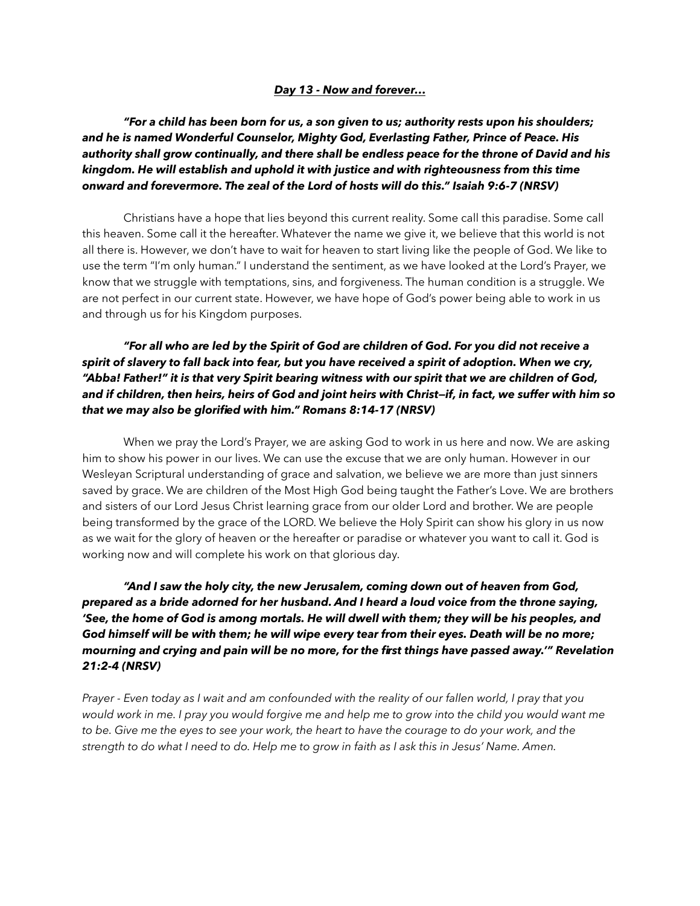#### *Day 13 - Now and forever…*

*"For a child has been born for us, a son given to us; authority rests upon his shoulders; and he is named Wonderful Counselor, Mighty God, Everlasting Father, Prince of Peace. His authority shall grow continually, and there shall be endless peace for the throne of David and his kingdom. He will establish and uphold it with justice and with righteousness from this time onward and forevermore. The zeal of the Lord of hosts will do this." Isaiah 9:6-7 (NRSV)* 

 Christians have a hope that lies beyond this current reality. Some call this paradise. Some call this heaven. Some call it the hereafter. Whatever the name we give it, we believe that this world is not all there is. However, we don't have to wait for heaven to start living like the people of God. We like to use the term "I'm only human." I understand the sentiment, as we have looked at the Lord's Prayer, we know that we struggle with temptations, sins, and forgiveness. The human condition is a struggle. We are not perfect in our current state. However, we have hope of God's power being able to work in us and through us for his Kingdom purposes.

# *"For all who are led by the Spirit of God are children of God. For you did not receive a spirit of slavery to fall back into fear, but you have received a spirit of adoption. When we cry, "Abba! Father!" it is that very Spirit bearing witness with our spirit that we are children of God, and if children, then heirs, heirs of God and joint heirs with Christ—if, in fact, we suffer with him so that we may also be glorified with him." Romans 8:14-17 (NRSV)*

 When we pray the Lord's Prayer, we are asking God to work in us here and now. We are asking him to show his power in our lives. We can use the excuse that we are only human. However in our Wesleyan Scriptural understanding of grace and salvation, we believe we are more than just sinners saved by grace. We are children of the Most High God being taught the Father's Love. We are brothers and sisters of our Lord Jesus Christ learning grace from our older Lord and brother. We are people being transformed by the grace of the LORD. We believe the Holy Spirit can show his glory in us now as we wait for the glory of heaven or the hereafter or paradise or whatever you want to call it. God is working now and will complete his work on that glorious day.

# *"And I saw the holy city, the new Jerusalem, coming down out of heaven from God, prepared as a bride adorned for her husband. And I heard a loud voice from the throne saying, 'See, the home of God is among mortals. He will dwell with them; they will be his peoples, and God himself will be with them; he will wipe every tear from their eyes. Death will be no more; mourning and crying and pain will be no more, for the first things have passed away.'" Revelation 21:2-4 (NRSV)*

*Prayer - Even today as I wait and am confounded with the reality of our fallen world, I pray that you would work in me. I pray you would forgive me and help me to grow into the child you would want me to be. Give me the eyes to see your work, the heart to have the courage to do your work, and the strength to do what I need to do. Help me to grow in faith as I ask this in Jesus' Name. Amen.*